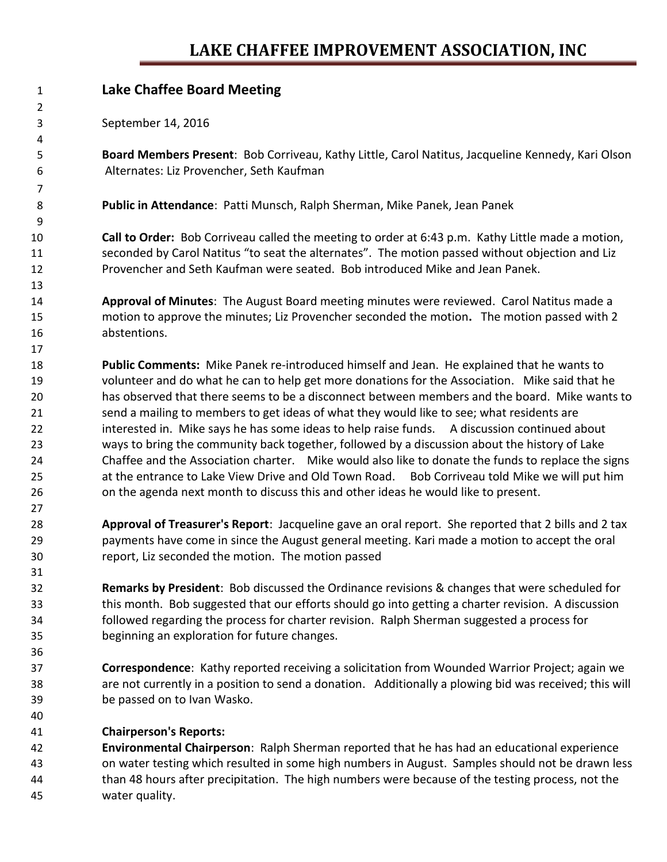## **LAKE CHAFFEE IMPROVEMENT ASSOCIATION, INC**

| 2<br>September 14, 2016<br>3<br>4<br>5<br>Board Members Present: Bob Corriveau, Kathy Little, Carol Natitus, Jacqueline Kennedy, Kari Olson<br>Alternates: Liz Provencher, Seth Kaufman<br>6<br>7<br>8<br>Public in Attendance: Patti Munsch, Ralph Sherman, Mike Panek, Jean Panek<br>9<br>Call to Order: Bob Corriveau called the meeting to order at 6:43 p.m. Kathy Little made a motion,<br>10<br>seconded by Carol Natitus "to seat the alternates". The motion passed without objection and Liz<br>11<br>Provencher and Seth Kaufman were seated. Bob introduced Mike and Jean Panek.<br>12<br>13<br>Approval of Minutes: The August Board meeting minutes were reviewed. Carol Natitus made a<br>14<br>motion to approve the minutes; Liz Provencher seconded the motion. The motion passed with 2<br>15<br>abstentions.<br>16<br>17 |
|----------------------------------------------------------------------------------------------------------------------------------------------------------------------------------------------------------------------------------------------------------------------------------------------------------------------------------------------------------------------------------------------------------------------------------------------------------------------------------------------------------------------------------------------------------------------------------------------------------------------------------------------------------------------------------------------------------------------------------------------------------------------------------------------------------------------------------------------|
|                                                                                                                                                                                                                                                                                                                                                                                                                                                                                                                                                                                                                                                                                                                                                                                                                                              |
|                                                                                                                                                                                                                                                                                                                                                                                                                                                                                                                                                                                                                                                                                                                                                                                                                                              |
|                                                                                                                                                                                                                                                                                                                                                                                                                                                                                                                                                                                                                                                                                                                                                                                                                                              |
|                                                                                                                                                                                                                                                                                                                                                                                                                                                                                                                                                                                                                                                                                                                                                                                                                                              |
|                                                                                                                                                                                                                                                                                                                                                                                                                                                                                                                                                                                                                                                                                                                                                                                                                                              |
|                                                                                                                                                                                                                                                                                                                                                                                                                                                                                                                                                                                                                                                                                                                                                                                                                                              |
|                                                                                                                                                                                                                                                                                                                                                                                                                                                                                                                                                                                                                                                                                                                                                                                                                                              |
|                                                                                                                                                                                                                                                                                                                                                                                                                                                                                                                                                                                                                                                                                                                                                                                                                                              |
|                                                                                                                                                                                                                                                                                                                                                                                                                                                                                                                                                                                                                                                                                                                                                                                                                                              |
|                                                                                                                                                                                                                                                                                                                                                                                                                                                                                                                                                                                                                                                                                                                                                                                                                                              |
|                                                                                                                                                                                                                                                                                                                                                                                                                                                                                                                                                                                                                                                                                                                                                                                                                                              |
|                                                                                                                                                                                                                                                                                                                                                                                                                                                                                                                                                                                                                                                                                                                                                                                                                                              |
|                                                                                                                                                                                                                                                                                                                                                                                                                                                                                                                                                                                                                                                                                                                                                                                                                                              |
|                                                                                                                                                                                                                                                                                                                                                                                                                                                                                                                                                                                                                                                                                                                                                                                                                                              |
|                                                                                                                                                                                                                                                                                                                                                                                                                                                                                                                                                                                                                                                                                                                                                                                                                                              |
|                                                                                                                                                                                                                                                                                                                                                                                                                                                                                                                                                                                                                                                                                                                                                                                                                                              |
| 18<br>Public Comments: Mike Panek re-introduced himself and Jean. He explained that he wants to                                                                                                                                                                                                                                                                                                                                                                                                                                                                                                                                                                                                                                                                                                                                              |
| volunteer and do what he can to help get more donations for the Association. Mike said that he<br>19                                                                                                                                                                                                                                                                                                                                                                                                                                                                                                                                                                                                                                                                                                                                         |
| has observed that there seems to be a disconnect between members and the board. Mike wants to<br>20                                                                                                                                                                                                                                                                                                                                                                                                                                                                                                                                                                                                                                                                                                                                          |
| send a mailing to members to get ideas of what they would like to see; what residents are<br>21                                                                                                                                                                                                                                                                                                                                                                                                                                                                                                                                                                                                                                                                                                                                              |
| interested in. Mike says he has some ideas to help raise funds. A discussion continued about<br>22                                                                                                                                                                                                                                                                                                                                                                                                                                                                                                                                                                                                                                                                                                                                           |
| ways to bring the community back together, followed by a discussion about the history of Lake<br>23                                                                                                                                                                                                                                                                                                                                                                                                                                                                                                                                                                                                                                                                                                                                          |
| Chaffee and the Association charter. Mike would also like to donate the funds to replace the signs<br>24                                                                                                                                                                                                                                                                                                                                                                                                                                                                                                                                                                                                                                                                                                                                     |
| at the entrance to Lake View Drive and Old Town Road. Bob Corriveau told Mike we will put him<br>25                                                                                                                                                                                                                                                                                                                                                                                                                                                                                                                                                                                                                                                                                                                                          |
| 26<br>on the agenda next month to discuss this and other ideas he would like to present.                                                                                                                                                                                                                                                                                                                                                                                                                                                                                                                                                                                                                                                                                                                                                     |
| 27                                                                                                                                                                                                                                                                                                                                                                                                                                                                                                                                                                                                                                                                                                                                                                                                                                           |
| Approval of Treasurer's Report: Jacqueline gave an oral report. She reported that 2 bills and 2 tax<br>28                                                                                                                                                                                                                                                                                                                                                                                                                                                                                                                                                                                                                                                                                                                                    |
| payments have come in since the August general meeting. Kari made a motion to accept the oral<br>29                                                                                                                                                                                                                                                                                                                                                                                                                                                                                                                                                                                                                                                                                                                                          |
| report, Liz seconded the motion. The motion passed<br>30                                                                                                                                                                                                                                                                                                                                                                                                                                                                                                                                                                                                                                                                                                                                                                                     |
| 31                                                                                                                                                                                                                                                                                                                                                                                                                                                                                                                                                                                                                                                                                                                                                                                                                                           |
| <b>Remarks by President:</b> Bob discussed the Ordinance revisions & changes that were scheduled for<br>32                                                                                                                                                                                                                                                                                                                                                                                                                                                                                                                                                                                                                                                                                                                                   |
| this month. Bob suggested that our efforts should go into getting a charter revision. A discussion<br>33                                                                                                                                                                                                                                                                                                                                                                                                                                                                                                                                                                                                                                                                                                                                     |
| followed regarding the process for charter revision. Ralph Sherman suggested a process for<br>34                                                                                                                                                                                                                                                                                                                                                                                                                                                                                                                                                                                                                                                                                                                                             |
| beginning an exploration for future changes.<br>35                                                                                                                                                                                                                                                                                                                                                                                                                                                                                                                                                                                                                                                                                                                                                                                           |
| 36                                                                                                                                                                                                                                                                                                                                                                                                                                                                                                                                                                                                                                                                                                                                                                                                                                           |
| <b>Correspondence:</b> Kathy reported receiving a solicitation from Wounded Warrior Project; again we<br>37                                                                                                                                                                                                                                                                                                                                                                                                                                                                                                                                                                                                                                                                                                                                  |
| are not currently in a position to send a donation. Additionally a plowing bid was received; this will<br>38                                                                                                                                                                                                                                                                                                                                                                                                                                                                                                                                                                                                                                                                                                                                 |
| be passed on to Ivan Wasko.<br>39                                                                                                                                                                                                                                                                                                                                                                                                                                                                                                                                                                                                                                                                                                                                                                                                            |
| 40                                                                                                                                                                                                                                                                                                                                                                                                                                                                                                                                                                                                                                                                                                                                                                                                                                           |
| <b>Chairperson's Reports:</b><br>41                                                                                                                                                                                                                                                                                                                                                                                                                                                                                                                                                                                                                                                                                                                                                                                                          |

 **Environmental Chairperson**: Ralph Sherman reported that he has had an educational experience on water testing which resulted in some high numbers in August. Samples should not be drawn less than 48 hours after precipitation. The high numbers were because of the testing process, not the water quality.